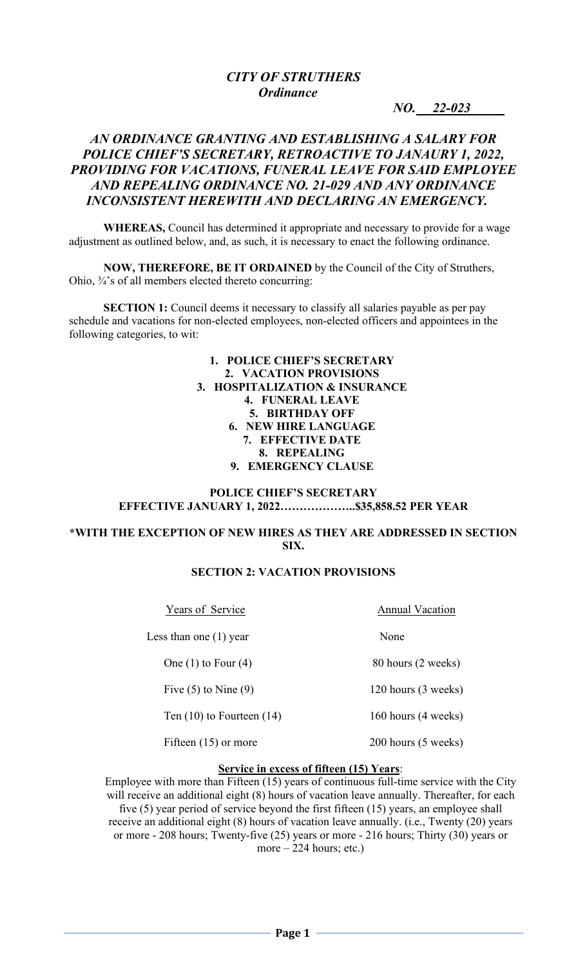# *CITY OF STRUTHERS Ordinance*

*NO.* 22-023

## *AN ORDINANCE GRANTING AND ESTABLISHING A SALARY FOR POLICE CHIEF'S SECRETARY, RETROACTIVE TO JANAURY 1, 2022, PROVIDING FOR VACATIONS, FUNERAL LEAVE FOR SAID EMPLOYEE AND REPEALING ORDINANCE NO. 21-029 AND ANY ORDINANCE INCONSISTENT HEREWITH AND DECLARING AN EMERGENCY.*

**WHEREAS,** Council has determined it appropriate and necessary to provide for a wage adjustment as outlined below, and, as such, it is necessary to enact the following ordinance.

**NOW, THEREFORE, BE IT ORDAINED** by the Council of the City of Struthers, Ohio, ¾'s of all members elected thereto concurring:

**SECTION 1:** Council deems it necessary to classify all salaries payable as per pay schedule and vacations for non-elected employees, non-elected officers and appointees in the following categories, to wit:

> **1. POLICE CHIEF'S SECRETARY 2. VACATION PROVISIONS 3. HOSPITALIZATION & INSURANCE 4. FUNERAL LEAVE 5. BIRTHDAY OFF 6. NEW HIRE LANGUAGE 7. EFFECTIVE DATE 8. REPEALING 9. EMERGENCY CLAUSE**

## **POLICE CHIEF'S SECRETARY EFFECTIVE JANUARY 1, 2022………………..\$35,858.52 PER YEAR**

#### **\*WITH THE EXCEPTION OF NEW HIRES AS THEY ARE ADDRESSED IN SECTION SIX.**

### **SECTION 2: VACATION PROVISIONS**

| Years of Service              | <b>Annual Vacation</b> |  |
|-------------------------------|------------------------|--|
| Less than one $(1)$ year      | None                   |  |
| One $(1)$ to Four $(4)$       | 80 hours (2 weeks)     |  |
| Five $(5)$ to Nine $(9)$      | 120 hours (3 weeks)    |  |
| Ten $(10)$ to Fourteen $(14)$ | 160 hours (4 weeks)    |  |
| Fifteen $(15)$ or more        | 200 hours (5 weeks)    |  |

#### **Service in excess of fifteen (15) Years**:

Employee with more than Fifteen (15) years of continuous full-time service with the City will receive an additional eight (8) hours of vacation leave annually. Thereafter, for each five (5) year period of service beyond the first fifteen (15) years, an employee shall receive an additional eight (8) hours of vacation leave annually. (i.e., Twenty (20) years or more - 208 hours; Twenty-five (25) years or more - 216 hours; Thirty (30) years or more  $-224$  hours; etc.)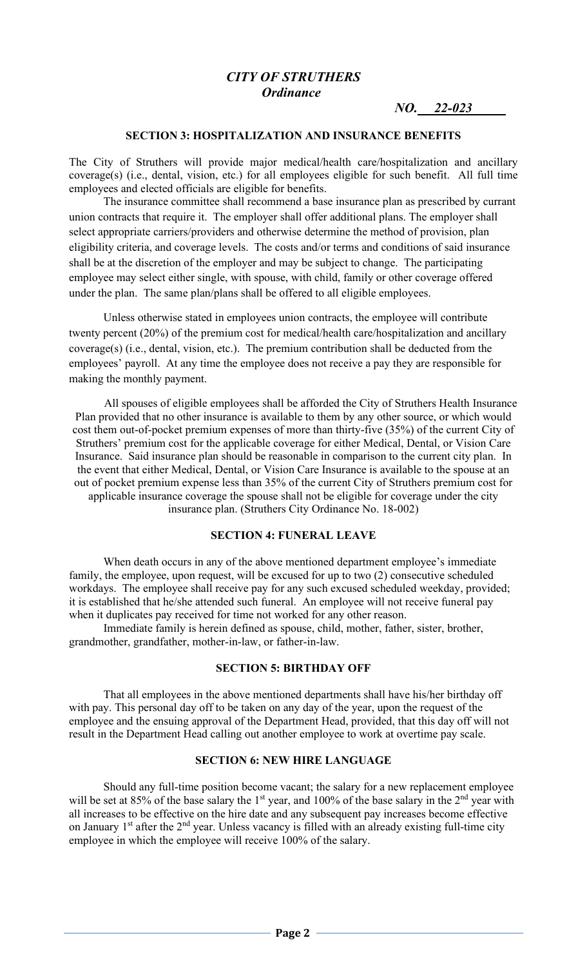## *CITY OF STRUTHERS Ordinance*

*NO.* 22-023

#### **SECTION 3: HOSPITALIZATION AND INSURANCE BENEFITS**

The City of Struthers will provide major medical/health care/hospitalization and ancillary coverage(s) (i.e., dental, vision, etc.) for all employees eligible for such benefit. All full time employees and elected officials are eligible for benefits.

The insurance committee shall recommend a base insurance plan as prescribed by currant union contracts that require it. The employer shall offer additional plans. The employer shall select appropriate carriers/providers and otherwise determine the method of provision, plan eligibility criteria, and coverage levels. The costs and/or terms and conditions of said insurance shall be at the discretion of the employer and may be subject to change. The participating employee may select either single, with spouse, with child, family or other coverage offered under the plan. The same plan/plans shall be offered to all eligible employees.

Unless otherwise stated in employees union contracts, the employee will contribute twenty percent (20%) of the premium cost for medical/health care/hospitalization and ancillary coverage(s) (i.e., dental, vision, etc.). The premium contribution shall be deducted from the employees' payroll. At any time the employee does not receive a pay they are responsible for making the monthly payment.

All spouses of eligible employees shall be afforded the City of Struthers Health Insurance Plan provided that no other insurance is available to them by any other source, or which would cost them out-of-pocket premium expenses of more than thirty-five (35%) of the current City of Struthers' premium cost for the applicable coverage for either Medical, Dental, or Vision Care Insurance. Said insurance plan should be reasonable in comparison to the current city plan. In the event that either Medical, Dental, or Vision Care Insurance is available to the spouse at an out of pocket premium expense less than 35% of the current City of Struthers premium cost for applicable insurance coverage the spouse shall not be eligible for coverage under the city insurance plan. (Struthers City Ordinance No. 18-002)

#### **SECTION 4: FUNERAL LEAVE**

 When death occurs in any of the above mentioned department employee's immediate family, the employee, upon request, will be excused for up to two (2) consecutive scheduled workdays. The employee shall receive pay for any such excused scheduled weekday, provided; it is established that he/she attended such funeral. An employee will not receive funeral pay when it duplicates pay received for time not worked for any other reason.

 Immediate family is herein defined as spouse, child, mother, father, sister, brother, grandmother, grandfather, mother-in-law, or father-in-law.

### **SECTION 5: BIRTHDAY OFF**

That all employees in the above mentioned departments shall have his/her birthday off with pay. This personal day off to be taken on any day of the year, upon the request of the employee and the ensuing approval of the Department Head, provided, that this day off will not result in the Department Head calling out another employee to work at overtime pay scale.

#### **SECTION 6: NEW HIRE LANGUAGE**

Should any full-time position become vacant; the salary for a new replacement employee will be set at 85% of the base salary the  $1<sup>st</sup>$  year, and 100% of the base salary in the  $2<sup>nd</sup>$  year with all increases to be effective on the hire date and any subsequent pay increases become effective on January 1<sup>st</sup> after the 2<sup>nd</sup> year. Unless vacancy is filled with an already existing full-time city employee in which the employee will receive 100% of the salary.